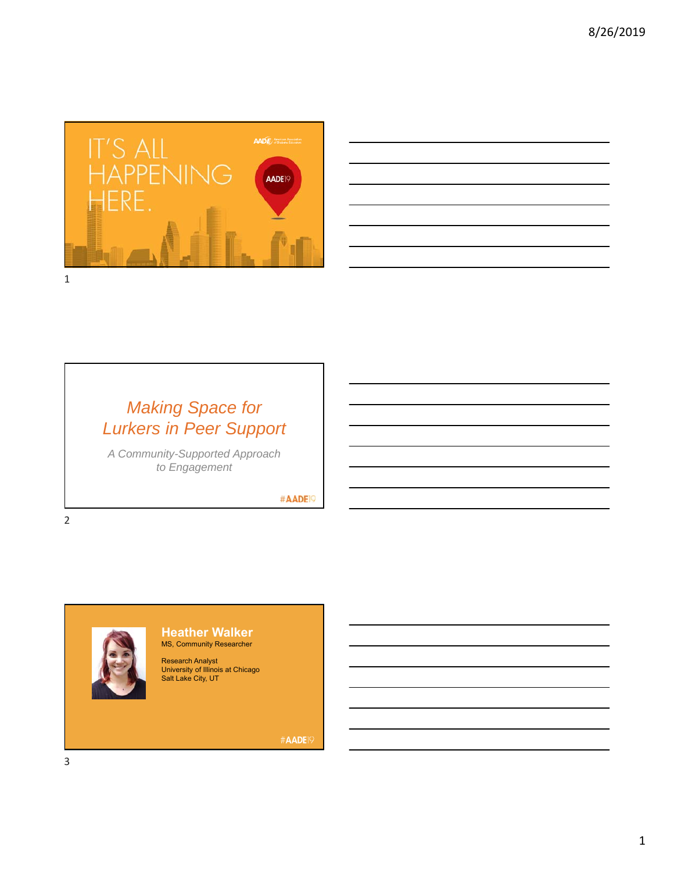



# *Making Space for Lurkers in Peer Support*

*A Community-Supported Approach to Engagement*

#AADE<sup>19</sup>



#### **Heather Walker** MS, Community Researcher

Research Analyst University of Illinois at Chicago Salt Lake City, UT

#AADE<sup>19</sup>

2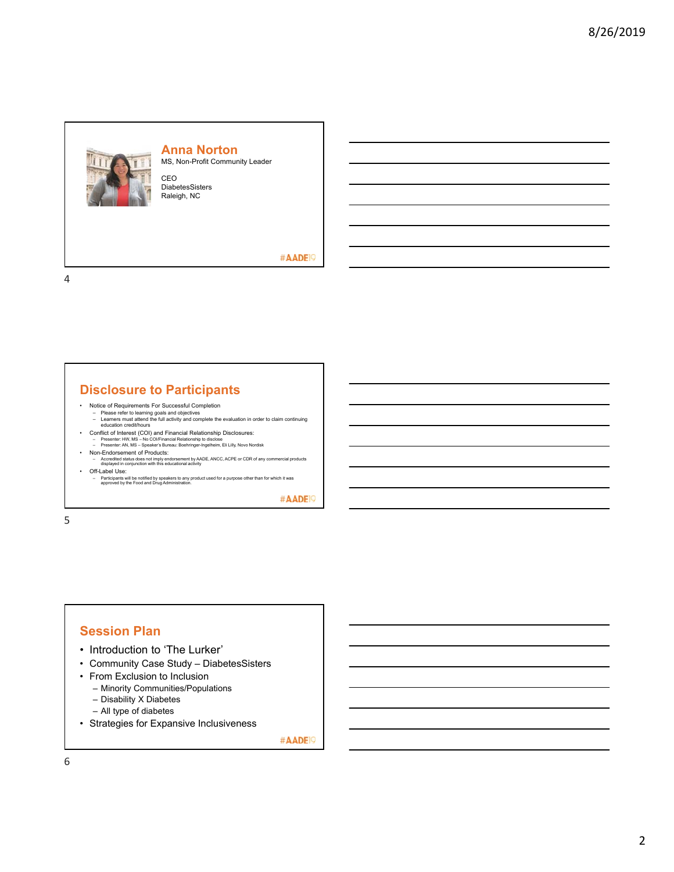

#### **Anna Norton**

MS, Non-Profit Community Leader

CEO DiabetesSisters Raleigh, NC

#AADE<sup>19</sup>

4

#### **Disclosure to Participants**

- 
- Notice of Requirements For Successful Completion Please refer to learning goals and objectives Learners must attend the full activity and complete the evaluation in order to claim continuing education credit/hours
- Conflict of Interest (COI) and Financial Relationship Disclosures: Presenter: HW, MS No COI/Financial Relationship to disclose Presenter: AN, MS Speaker's Bureau: Boehringer-Ingelheim, Eli Lilly, Novo Nordisk
- 
- Non-Endorsement of Products: Accredited status does not imply endorsement by AADE, ANCC, ACPE or CDR of any commercial products displayed in conjunction with this educational activity • Off-Label Use:
- Participants will be notified by speakers to any product used for a purpose other than for which it was approved by the Food and Drug Administration.

#AADE<sup>19</sup>

5

## **Session Plan**

- Introduction to 'The Lurker'
- Community Case Study DiabetesSisters
- From Exclusion to Inclusion
	- Minority Communities/Populations
	- Disability X Diabetes
	- All type of diabetes
- Strategies for Expansive Inclusiveness

#AADE<sup>19</sup>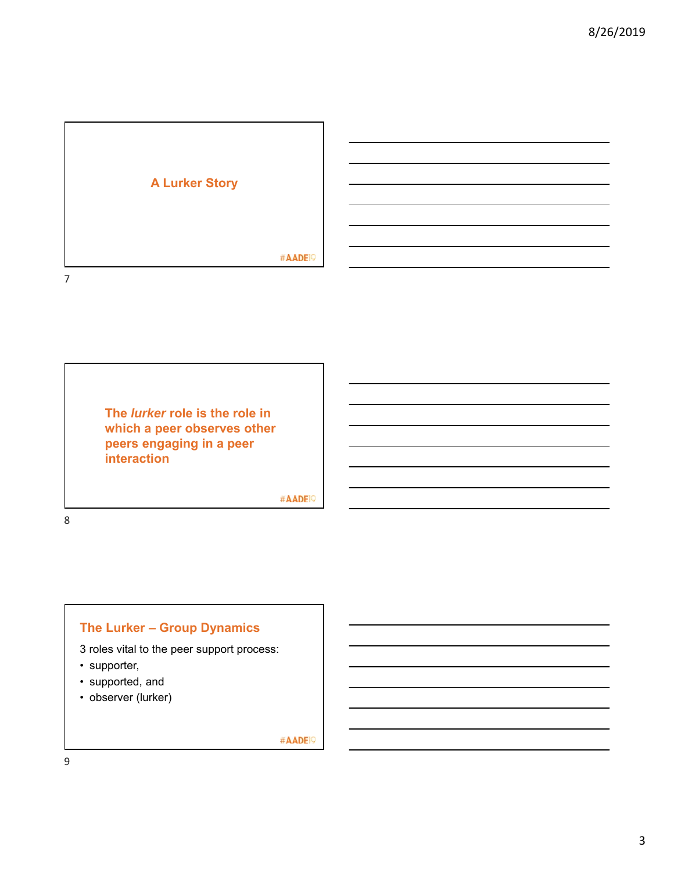

**The** *lurker* **role is the role in which a peer observes other peers engaging in a peer interaction**

#AADE<sup>19</sup>

8

# **The Lurker – Group Dynamics**

3 roles vital to the peer support process:

- supporter,
- supported, and
- observer (lurker)

#AADE<sup>19</sup>

9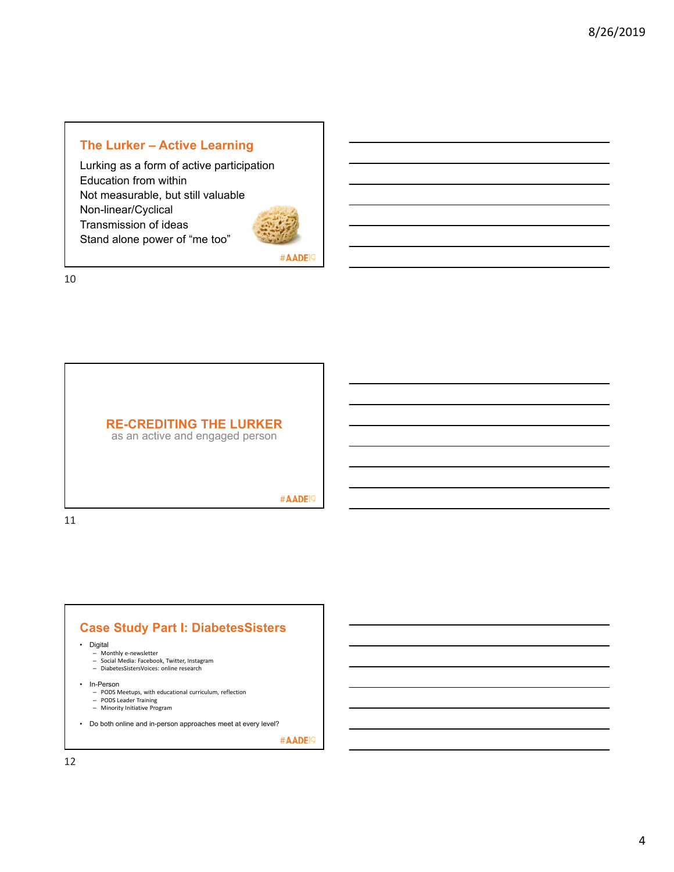#### **The Lurker – Active Learning**

Lurking as a form of active participation Education from within Not measurable, but still valuable Non-linear/Cyclical Transmission of ideas Stand alone power of "me too"



#AADE<sup>19</sup>

10



as an active and engaged person

#AADE<sup>19</sup>

11

# **Case Study Part I: DiabetesSisters**

• Digital

- 
- Monthly e‐newsletter Social Media: Facebook, Twitter, Instagram – DiabetesSistersVoices: online research
- 
- 
- In-Person PODS Meetups, with educational curriculum, reflection
	- PODS Leader Training Minority Initiative Program
- Do both online and in-person approaches meet at every level?

#AADE<sup>19</sup>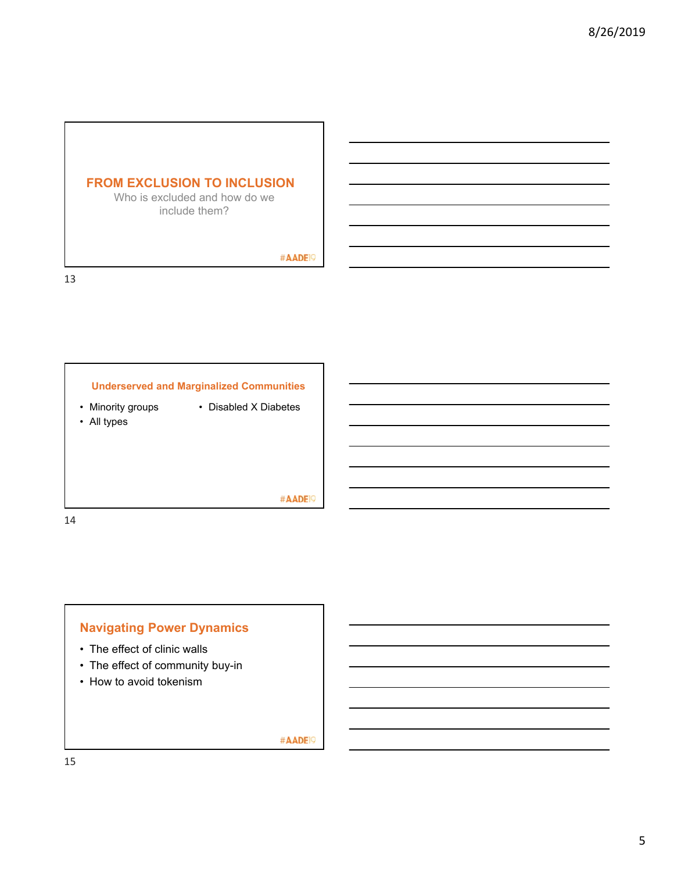#### **FROM EXCLUSION TO INCLUSION**

Who is excluded and how do we include them?

#AADE<sup>19</sup>

13



• Minority groups

- Disabled X Diabetes
- All types
- 

#AADE<sup>19</sup>

14

# **Navigating Power Dynamics**

- The effect of clinic walls
- The effect of community buy-in
- How to avoid tokenism

#AADE<sup>19</sup>